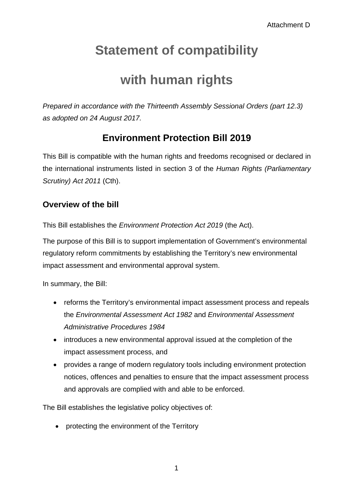# **Statement of compatibility**

## **with human rights**

*Prepared in accordance with the Thirteenth Assembly Sessional Orders (part 12.3) as adopted on 24 August 2017.* 

## **Environment Protection Bill 2019**

This Bill is compatible with the human rights and freedoms recognised or declared in the international instruments listed in section 3 of the *Human Rights (Parliamentary Scrutiny) Act 2011* (Cth).

## **Overview of the bill**

This Bill establishes the *Environment Protection Act 2019* (the Act).

The purpose of this Bill is to support implementation of Government's environmental regulatory reform commitments by establishing the Territory's new environmental impact assessment and environmental approval system.

In summary, the Bill:

- reforms the Territory's environmental impact assessment process and repeals the *Environmental Assessment Act 1982* and *Environmental Assessment Administrative Procedures 1984*
- introduces a new environmental approval issued at the completion of the impact assessment process, and
- provides a range of modern regulatory tools including environment protection notices, offences and penalties to ensure that the impact assessment process and approvals are complied with and able to be enforced.

The Bill establishes the legislative policy objectives of:

• protecting the environment of the Territory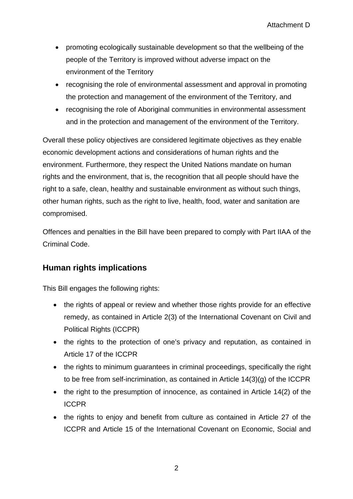- promoting ecologically sustainable development so that the wellbeing of the people of the Territory is improved without adverse impact on the environment of the Territory
- recognising the role of environmental assessment and approval in promoting the protection and management of the environment of the Territory, and
- recognising the role of Aboriginal communities in environmental assessment and in the protection and management of the environment of the Territory.

Overall these policy objectives are considered legitimate objectives as they enable economic development actions and considerations of human rights and the environment. Furthermore, they respect the United Nations mandate on human rights and the environment, that is, the recognition that all people should have the right to a safe, clean, healthy and sustainable environment as without such things, other human rights, such as the right to live, health, food, water and sanitation are compromised.

Offences and penalties in the Bill have been prepared to comply with Part IIAA of the Criminal Code.

### **Human rights implications**

This Bill engages the following rights:

- the rights of appeal or review and whether those rights provide for an effective remedy, as contained in Article 2(3) of the International Covenant on Civil and Political Rights (ICCPR)
- the rights to the protection of one's privacy and reputation, as contained in Article 17 of the ICCPR
- the rights to minimum guarantees in criminal proceedings, specifically the right to be free from self-incrimination, as contained in Article 14(3)(g) of the ICCPR
- the right to the presumption of innocence, as contained in Article 14(2) of the ICCPR
- the rights to enjoy and benefit from culture as contained in Article 27 of the ICCPR and Article 15 of the International Covenant on Economic, Social and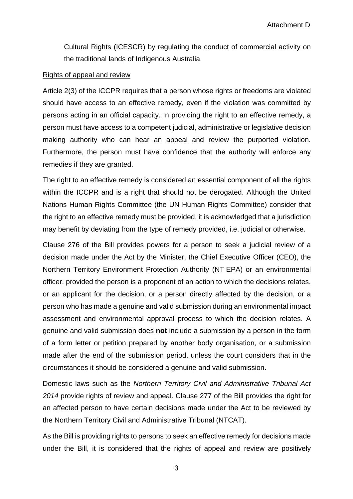Cultural Rights (ICESCR) by regulating the conduct of commercial activity on the traditional lands of Indigenous Australia.

#### Rights of appeal and review

Article 2(3) of the ICCPR requires that a person whose rights or freedoms are violated should have access to an effective remedy, even if the violation was committed by persons acting in an official capacity. In providing the right to an effective remedy, a person must have access to a competent judicial, administrative or legislative decision making authority who can hear an appeal and review the purported violation. Furthermore, the person must have confidence that the authority will enforce any remedies if they are granted.

The right to an effective remedy is considered an essential component of all the rights within the ICCPR and is a right that should not be derogated. Although the United Nations Human Rights Committee (the UN Human Rights Committee) consider that the right to an effective remedy must be provided, it is acknowledged that a jurisdiction may benefit by deviating from the type of remedy provided, i.e. judicial or otherwise.

Clause 276 of the Bill provides powers for a person to seek a judicial review of a decision made under the Act by the Minister, the Chief Executive Officer (CEO), the Northern Territory Environment Protection Authority (NT EPA) or an environmental officer, provided the person is a proponent of an action to which the decisions relates, or an applicant for the decision, or a person directly affected by the decision, or a person who has made a genuine and valid submission during an environmental impact assessment and environmental approval process to which the decision relates. A genuine and valid submission does **not** include a submission by a person in the form of a form letter or petition prepared by another body organisation, or a submission made after the end of the submission period, unless the court considers that in the circumstances it should be considered a genuine and valid submission.

Domestic laws such as the *Northern Territory Civil and Administrative Tribunal Act 2014* provide rights of review and appeal. Clause 277 of the Bill provides the right for an affected person to have certain decisions made under the Act to be reviewed by the Northern Territory Civil and Administrative Tribunal (NTCAT).

As the Bill is providing rights to persons to seek an effective remedy for decisions made under the Bill, it is considered that the rights of appeal and review are positively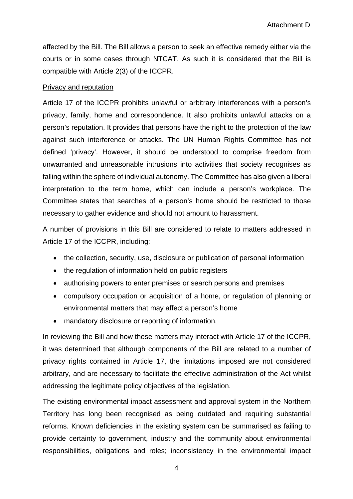affected by the Bill. The Bill allows a person to seek an effective remedy either via the courts or in some cases through NTCAT. As such it is considered that the Bill is compatible with Article 2(3) of the ICCPR.

#### Privacy and reputation

Article 17 of the ICCPR prohibits unlawful or arbitrary interferences with a person's privacy, family, home and correspondence. It also prohibits unlawful attacks on a person's reputation. It provides that persons have the right to the protection of the law against such interference or attacks. The UN Human Rights Committee has not defined 'privacy'. However, it should be understood to comprise freedom from unwarranted and unreasonable intrusions into activities that society recognises as falling within the sphere of individual autonomy. The Committee has also given a liberal interpretation to the term home, which can include a person's workplace. The Committee states that searches of a person's home should be restricted to those necessary to gather evidence and should not amount to harassment.

A number of provisions in this Bill are considered to relate to matters addressed in Article 17 of the ICCPR, including:

- the collection, security, use, disclosure or publication of personal information
- the regulation of information held on public registers
- authorising powers to enter premises or search persons and premises
- compulsory occupation or acquisition of a home, or regulation of planning or environmental matters that may affect a person's home
- mandatory disclosure or reporting of information.

In reviewing the Bill and how these matters may interact with Article 17 of the ICCPR, it was determined that although components of the Bill are related to a number of privacy rights contained in Article 17, the limitations imposed are not considered arbitrary, and are necessary to facilitate the effective administration of the Act whilst addressing the legitimate policy objectives of the legislation.

The existing environmental impact assessment and approval system in the Northern Territory has long been recognised as being outdated and requiring substantial reforms. Known deficiencies in the existing system can be summarised as failing to provide certainty to government, industry and the community about environmental responsibilities, obligations and roles; inconsistency in the environmental impact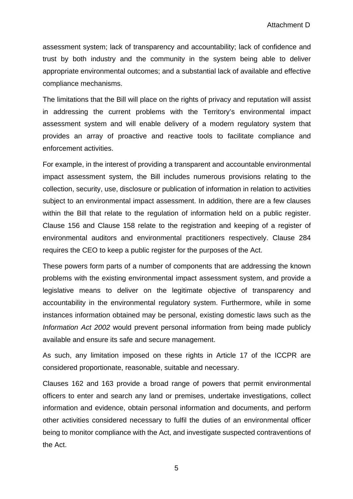assessment system; lack of transparency and accountability; lack of confidence and trust by both industry and the community in the system being able to deliver appropriate environmental outcomes; and a substantial lack of available and effective compliance mechanisms.

The limitations that the Bill will place on the rights of privacy and reputation will assist in addressing the current problems with the Territory's environmental impact assessment system and will enable delivery of a modern regulatory system that provides an array of proactive and reactive tools to facilitate compliance and enforcement activities.

For example, in the interest of providing a transparent and accountable environmental impact assessment system, the Bill includes numerous provisions relating to the collection, security, use, disclosure or publication of information in relation to activities subject to an environmental impact assessment. In addition, there are a few clauses within the Bill that relate to the regulation of information held on a public register. Clause 156 and Clause 158 relate to the registration and keeping of a register of environmental auditors and environmental practitioners respectively. Clause 284 requires the CEO to keep a public register for the purposes of the Act.

These powers form parts of a number of components that are addressing the known problems with the existing environmental impact assessment system, and provide a legislative means to deliver on the legitimate objective of transparency and accountability in the environmental regulatory system. Furthermore, while in some instances information obtained may be personal, existing domestic laws such as the *Information Act 2002* would prevent personal information from being made publicly available and ensure its safe and secure management.

As such, any limitation imposed on these rights in Article 17 of the ICCPR are considered proportionate, reasonable, suitable and necessary.

Clauses 162 and 163 provide a broad range of powers that permit environmental officers to enter and search any land or premises, undertake investigations, collect information and evidence, obtain personal information and documents, and perform other activities considered necessary to fulfil the duties of an environmental officer being to monitor compliance with the Act, and investigate suspected contraventions of the Act.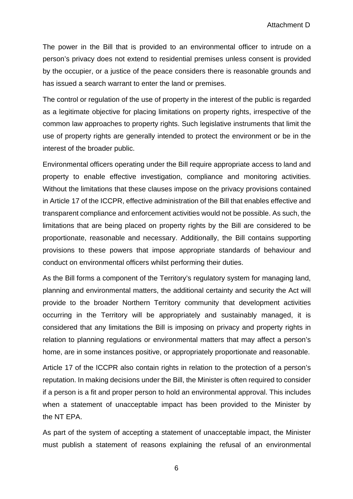The power in the Bill that is provided to an environmental officer to intrude on a person's privacy does not extend to residential premises unless consent is provided by the occupier, or a justice of the peace considers there is reasonable grounds and has issued a search warrant to enter the land or premises.

The control or regulation of the use of property in the interest of the public is regarded as a legitimate objective for placing limitations on property rights, irrespective of the common law approaches to property rights. Such legislative instruments that limit the use of property rights are generally intended to protect the environment or be in the interest of the broader public.

Environmental officers operating under the Bill require appropriate access to land and property to enable effective investigation, compliance and monitoring activities. Without the limitations that these clauses impose on the privacy provisions contained in Article 17 of the ICCPR, effective administration of the Bill that enables effective and transparent compliance and enforcement activities would not be possible. As such, the limitations that are being placed on property rights by the Bill are considered to be proportionate, reasonable and necessary. Additionally, the Bill contains supporting provisions to these powers that impose appropriate standards of behaviour and conduct on environmental officers whilst performing their duties.

As the Bill forms a component of the Territory's regulatory system for managing land, planning and environmental matters, the additional certainty and security the Act will provide to the broader Northern Territory community that development activities occurring in the Territory will be appropriately and sustainably managed, it is considered that any limitations the Bill is imposing on privacy and property rights in relation to planning regulations or environmental matters that may affect a person's home, are in some instances positive, or appropriately proportionate and reasonable.

Article 17 of the ICCPR also contain rights in relation to the protection of a person's reputation. In making decisions under the Bill, the Minister is often required to consider if a person is a fit and proper person to hold an environmental approval. This includes when a statement of unacceptable impact has been provided to the Minister by the NT EPA.

As part of the system of accepting a statement of unacceptable impact, the Minister must publish a statement of reasons explaining the refusal of an environmental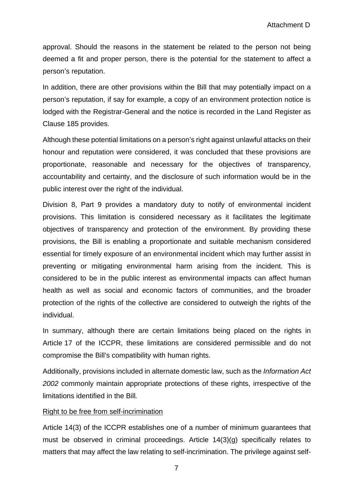approval. Should the reasons in the statement be related to the person not being deemed a fit and proper person, there is the potential for the statement to affect a person's reputation.

In addition, there are other provisions within the Bill that may potentially impact on a person's reputation, if say for example, a copy of an environment protection notice is lodged with the Registrar-General and the notice is recorded in the Land Register as Clause 185 provides.

Although these potential limitations on a person's right against unlawful attacks on their honour and reputation were considered, it was concluded that these provisions are proportionate, reasonable and necessary for the objectives of transparency, accountability and certainty, and the disclosure of such information would be in the public interest over the right of the individual.

Division 8, Part 9 provides a mandatory duty to notify of environmental incident provisions. This limitation is considered necessary as it facilitates the legitimate objectives of transparency and protection of the environment. By providing these provisions, the Bill is enabling a proportionate and suitable mechanism considered essential for timely exposure of an environmental incident which may further assist in preventing or mitigating environmental harm arising from the incident. This is considered to be in the public interest as environmental impacts can affect human health as well as social and economic factors of communities, and the broader protection of the rights of the collective are considered to outweigh the rights of the individual.

In summary, although there are certain limitations being placed on the rights in Article 17 of the ICCPR, these limitations are considered permissible and do not compromise the Bill's compatibility with human rights.

Additionally, provisions included in alternate domestic law, such as the *Information Act 2002* commonly maintain appropriate protections of these rights, irrespective of the limitations identified in the Bill*.*

#### Right to be free from self-incrimination

Article 14(3) of the ICCPR establishes one of a number of minimum guarantees that must be observed in criminal proceedings. Article 14(3)(g) specifically relates to matters that may affect the law relating to self-incrimination. The privilege against self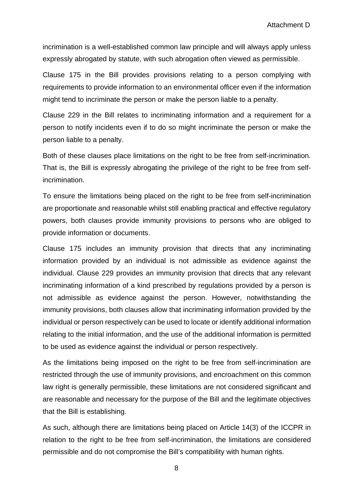incrimination is a well-established common law principle and will always apply unless expressly abrogated by statute, with such abrogation often viewed as permissible.

Clause 175 in the Bill provides provisions relating to a person complying with requirements to provide information to an environmental officer even if the information might tend to incriminate the person or make the person liable to a penalty.

Clause 229 in the Bill relates to incriminating information and a requirement for a person to notify incidents even if to do so might incriminate the person or make the person liable to a penalty.

Both of these clauses place limitations on the right to be free from self-incrimination. That is, the Bill is expressly abrogating the privilege of the right to be free from selfincrimination.

To ensure the limitations being placed on the right to be free from self-incrimination are proportionate and reasonable whilst still enabling practical and effective regulatory powers, both clauses provide immunity provisions to persons who are obliged to provide information or documents.

Clause 175 includes an immunity provision that directs that any incriminating information provided by an individual is not admissible as evidence against the individual. Clause 229 provides an immunity provision that directs that any relevant incriminating information of a kind prescribed by regulations provided by a person is not admissible as evidence against the person. However, notwithstanding the immunity provisions, both clauses allow that incriminating information provided by the individual or person respectively can be used to locate or identify additional information relating to the initial information, and the use of the additional information is permitted to be used as evidence against the individual or person respectively.

As the limitations being imposed on the right to be free from self-incrimination are restricted through the use of immunity provisions, and encroachment on this common law right is generally permissible, these limitations are not considered significant and are reasonable and necessary for the purpose of the Bill and the legitimate objectives that the Bill is establishing.

As such, although there are limitations being placed on Article 14(3) of the ICCPR in relation to the right to be free from self-incrimination, the limitations are considered permissible and do not compromise the Bill's compatibility with human rights.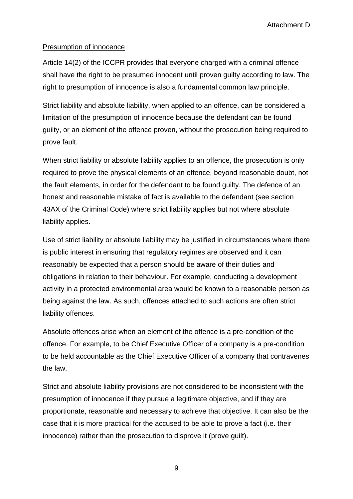#### Presumption of innocence

Article 14(2) of the ICCPR provides that everyone charged with a criminal offence shall have the right to be presumed innocent until proven guilty according to law. The right to presumption of innocence is also a fundamental common law principle.

Strict liability and absolute liability, when applied to an offence, can be considered a limitation of the presumption of innocence because the defendant can be found guilty, or an element of the offence proven, without the prosecution being required to prove fault.

When strict liability or absolute liability applies to an offence, the prosecution is only required to prove the physical elements of an offence, beyond reasonable doubt, not the fault elements, in order for the defendant to be found guilty. The defence of an honest and reasonable mistake of fact is available to the defendant (see section 43AX of the Criminal Code) where strict liability applies but not where absolute liability applies.

Use of strict liability or absolute liability may be justified in circumstances where there is public interest in ensuring that regulatory regimes are observed and it can reasonably be expected that a person should be aware of their duties and obligations in relation to their behaviour. For example, conducting a development activity in a protected environmental area would be known to a reasonable person as being against the law. As such, offences attached to such actions are often strict liability offences.

Absolute offences arise when an element of the offence is a pre-condition of the offence. For example, to be Chief Executive Officer of a company is a pre-condition to be held accountable as the Chief Executive Officer of a company that contravenes the law.

Strict and absolute liability provisions are not considered to be inconsistent with the presumption of innocence if they pursue a legitimate objective, and if they are proportionate, reasonable and necessary to achieve that objective. It can also be the case that it is more practical for the accused to be able to prove a fact (i.e. their innocence) rather than the prosecution to disprove it (prove guilt).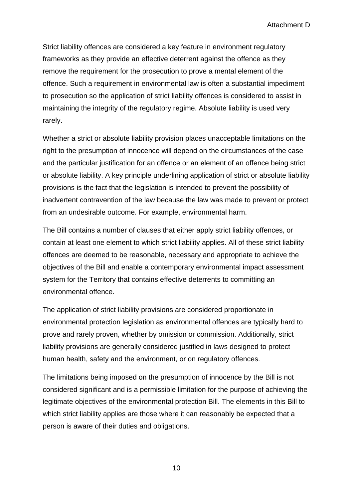Strict liability offences are considered a key feature in environment regulatory frameworks as they provide an effective deterrent against the offence as they remove the requirement for the prosecution to prove a mental element of the offence. Such a requirement in environmental law is often a substantial impediment to prosecution so the application of strict liability offences is considered to assist in maintaining the integrity of the regulatory regime. Absolute liability is used very rarely.

Whether a strict or absolute liability provision places unacceptable limitations on the right to the presumption of innocence will depend on the circumstances of the case and the particular justification for an offence or an element of an offence being strict or absolute liability. A key principle underlining application of strict or absolute liability provisions is the fact that the legislation is intended to prevent the possibility of inadvertent contravention of the law because the law was made to prevent or protect from an undesirable outcome. For example, environmental harm.

The Bill contains a number of clauses that either apply strict liability offences, or contain at least one element to which strict liability applies. All of these strict liability offences are deemed to be reasonable, necessary and appropriate to achieve the objectives of the Bill and enable a contemporary environmental impact assessment system for the Territory that contains effective deterrents to committing an environmental offence.

The application of strict liability provisions are considered proportionate in environmental protection legislation as environmental offences are typically hard to prove and rarely proven, whether by omission or commission. Additionally, strict liability provisions are generally considered justified in laws designed to protect human health, safety and the environment, or on regulatory offences.

The limitations being imposed on the presumption of innocence by the Bill is not considered significant and is a permissible limitation for the purpose of achieving the legitimate objectives of the environmental protection Bill. The elements in this Bill to which strict liability applies are those where it can reasonably be expected that a person is aware of their duties and obligations.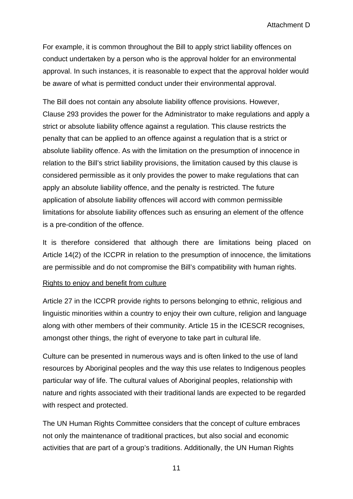For example, it is common throughout the Bill to apply strict liability offences on conduct undertaken by a person who is the approval holder for an environmental approval. In such instances, it is reasonable to expect that the approval holder would be aware of what is permitted conduct under their environmental approval.

The Bill does not contain any absolute liability offence provisions. However, Clause 293 provides the power for the Administrator to make regulations and apply a strict or absolute liability offence against a regulation. This clause restricts the penalty that can be applied to an offence against a regulation that is a strict or absolute liability offence. As with the limitation on the presumption of innocence in relation to the Bill's strict liability provisions, the limitation caused by this clause is considered permissible as it only provides the power to make regulations that can apply an absolute liability offence, and the penalty is restricted. The future application of absolute liability offences will accord with common permissible limitations for absolute liability offences such as ensuring an element of the offence is a pre-condition of the offence.

It is therefore considered that although there are limitations being placed on Article 14(2) of the ICCPR in relation to the presumption of innocence, the limitations are permissible and do not compromise the Bill's compatibility with human rights.

#### Rights to enjoy and benefit from culture

Article 27 in the ICCPR provide rights to persons belonging to ethnic, religious and linguistic minorities within a country to enjoy their own culture, religion and language along with other members of their community. Article 15 in the ICESCR recognises, amongst other things, the right of everyone to take part in cultural life.

Culture can be presented in numerous ways and is often linked to the use of land resources by Aboriginal peoples and the way this use relates to Indigenous peoples particular way of life. The cultural values of Aboriginal peoples, relationship with nature and rights associated with their traditional lands are expected to be regarded with respect and protected.

The UN Human Rights Committee considers that the concept of culture embraces not only the maintenance of traditional practices, but also social and economic activities that are part of a group's traditions. Additionally, the UN Human Rights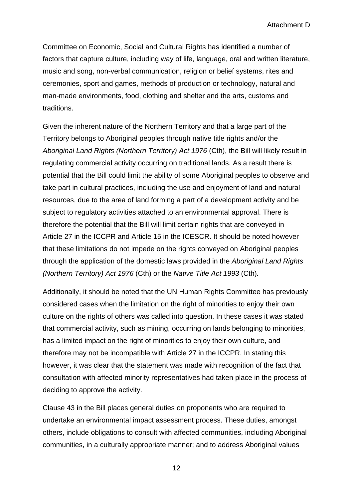Attachment D

Committee on Economic, Social and Cultural Rights has identified a number of factors that capture culture, including way of life, language, oral and written literature, music and song, non-verbal communication, religion or belief systems, rites and ceremonies, sport and games, methods of production or technology, natural and man-made environments, food, clothing and shelter and the arts, customs and traditions.

Given the inherent nature of the Northern Territory and that a large part of the Territory belongs to Aboriginal peoples through native title rights and/or the *Aboriginal Land Rights (Northern Territory) Act 1976* (Cth), the Bill will likely result in regulating commercial activity occurring on traditional lands. As a result there is potential that the Bill could limit the ability of some Aboriginal peoples to observe and take part in cultural practices, including the use and enjoyment of land and natural resources, due to the area of land forming a part of a development activity and be subject to regulatory activities attached to an environmental approval. There is therefore the potential that the Bill will limit certain rights that are conveyed in Article 27 in the ICCPR and Article 15 in the ICESCR. It should be noted however that these limitations do not impede on the rights conveyed on Aboriginal peoples through the application of the domestic laws provided in the *Aboriginal Land Rights (Northern Territory) Act 1976* (Cth) or the *Native Title Act 1993* (Cth)*.* 

Additionally, it should be noted that the UN Human Rights Committee has previously considered cases when the limitation on the right of minorities to enjoy their own culture on the rights of others was called into question. In these cases it was stated that commercial activity, such as mining, occurring on lands belonging to minorities, has a limited impact on the right of minorities to enjoy their own culture, and therefore may not be incompatible with Article 27 in the ICCPR. In stating this however, it was clear that the statement was made with recognition of the fact that consultation with affected minority representatives had taken place in the process of deciding to approve the activity.

Clause 43 in the Bill places general duties on proponents who are required to undertake an environmental impact assessment process. These duties, amongst others, include obligations to consult with affected communities, including Aboriginal communities, in a culturally appropriate manner; and to address Aboriginal values